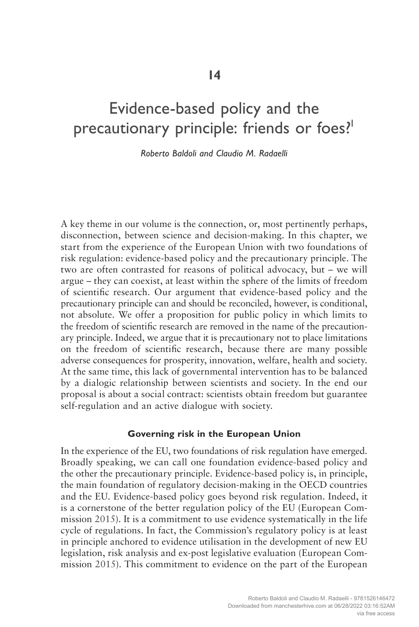# Evidence-based policy and the precautionary principle: friends or foes?<sup>1</sup>

*Roberto Baldoli and Claudio M. Radaelli*

A key theme in our volume is the connection, or, most pertinently perhaps, disconnection, between science and decision-making. In this chapter, we start from the experience of the European Union with two foundations of risk regulation: evidence-based policy and the precautionary principle. The two are often contrasted for reasons of political advocacy, but – we will argue – they can coexist, at least within the sphere of the limits of freedom of scientific research. Our argument that evidence-based policy and the precautionary principle can and should be reconciled, however, is conditional, not absolute. We offer a proposition for public policy in which limits to the freedom of scientific research are removed in the name of the precautionary principle. Indeed, we argue that it is precautionary not to place limitations on the freedom of scientific research, because there are many possible adverse consequences for prosperity, innovation, welfare, health and society. At the same time, this lack of governmental intervention has to be balanced by a dialogic relationship between scientists and society. In the end our proposal is about a social contract: scientists obtain freedom but guarantee self-regulation and an active dialogue with society.

### **Governing risk in the European Union**

In the experience of the EU, two foundations of risk regulation have emerged. Broadly speaking, we can call one foundation evidence-based policy and the other the precautionary principle. Evidence-based policy is, in principle, the main foundation of regulatory decision-making in the OECD countries and the EU. Evidence-based policy goes beyond risk regulation. Indeed, it is a cornerstone of the better regulation policy of the EU (European Commission 2015). It is a commitment to use evidence systematically in the life cycle of regulations. In fact, the Commission's regulatory policy is at least in principle anchored to evidence utilisation in the development of new EU legislation, risk analysis and ex-post legislative evaluation (European Commission 2015). This commitment to evidence on the part of the European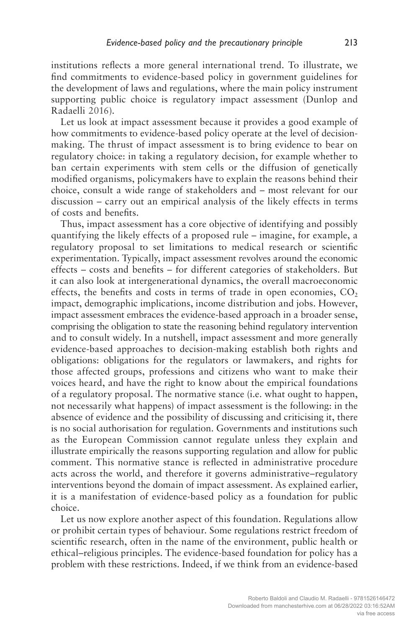institutions reflects a more general international trend. To illustrate, we find commitments to evidence-based policy in government guidelines for the development of laws and regulations, where the main policy instrument supporting public choice is regulatory impact assessment (Dunlop and Radaelli 2016).

Let us look at impact assessment because it provides a good example of how commitments to evidence-based policy operate at the level of decisionmaking. The thrust of impact assessment is to bring evidence to bear on regulatory choice: in taking a regulatory decision, for example whether to ban certain experiments with stem cells or the diffusion of genetically modified organisms, policymakers have to explain the reasons behind their choice, consult a wide range of stakeholders and – most relevant for our discussion – carry out an empirical analysis of the likely effects in terms of costs and benefits.

Thus, impact assessment has a core objective of identifying and possibly quantifying the likely effects of a proposed rule – imagine, for example, a regulatory proposal to set limitations to medical research or scientific experimentation. Typically, impact assessment revolves around the economic effects – costs and benefits – for different categories of stakeholders. But it can also look at intergenerational dynamics, the overall macroeconomic effects, the benefits and costs in terms of trade in open economies,  $CO<sub>2</sub>$ impact, demographic implications, income distribution and jobs. However, impact assessment embraces the evidence-based approach in a broader sense, comprising the obligation to state the reasoning behind regulatory intervention and to consult widely. In a nutshell, impact assessment and more generally evidence-based approaches to decision-making establish both rights and obligations: obligations for the regulators or lawmakers, and rights for those affected groups, professions and citizens who want to make their voices heard, and have the right to know about the empirical foundations of a regulatory proposal. The normative stance (i.e. what ought to happen, not necessarily what happens) of impact assessment is the following: in the absence of evidence and the possibility of discussing and criticising it, there is no social authorisation for regulation. Governments and institutions such as the European Commission cannot regulate unless they explain and illustrate empirically the reasons supporting regulation and allow for public comment. This normative stance is reflected in administrative procedure acts across the world, and therefore it governs administrative–regulatory interventions beyond the domain of impact assessment. As explained earlier, it is a manifestation of evidence-based policy as a foundation for public choice.

Let us now explore another aspect of this foundation. Regulations allow or prohibit certain types of behaviour. Some regulations restrict freedom of scientific research, often in the name of the environment, public health or ethical–religious principles. The evidence-based foundation for policy has a problem with these restrictions. Indeed, if we think from an evidence-based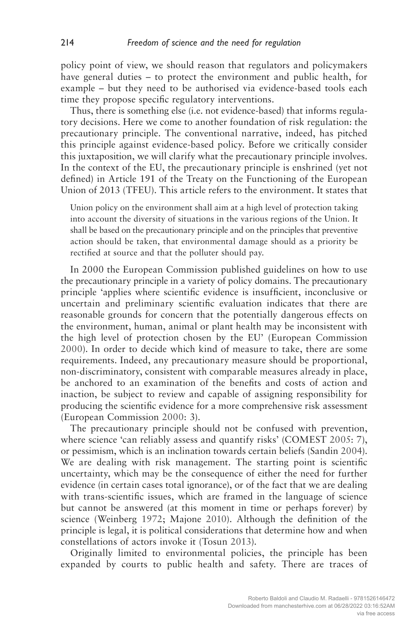policy point of view, we should reason that regulators and policymakers have general duties – to protect the environment and public health, for example – but they need to be authorised via evidence-based tools each time they propose specific regulatory interventions.

Thus, there is something else (i.e. not evidence-based) that informs regulatory decisions. Here we come to another foundation of risk regulation: the precautionary principle. The conventional narrative, indeed, has pitched this principle against evidence-based policy. Before we critically consider this juxtaposition, we will clarify what the precautionary principle involves. In the context of the EU, the precautionary principle is enshrined (yet not defined) in Article 191 of the Treaty on the Functioning of the European Union of 2013 (TFEU). This article refers to the environment. It states that

Union policy on the environment shall aim at a high level of protection taking into account the diversity of situations in the various regions of the Union. It shall be based on the precautionary principle and on the principles that preventive action should be taken, that environmental damage should as a priority be rectified at source and that the polluter should pay.

In 2000 the European Commission published guidelines on how to use the precautionary principle in a variety of policy domains. The precautionary principle 'applies where scientific evidence is insufficient, inconclusive or uncertain and preliminary scientific evaluation indicates that there are reasonable grounds for concern that the potentially dangerous effects on the environment, human, animal or plant health may be inconsistent with the high level of protection chosen by the EU' (European Commission 2000). In order to decide which kind of measure to take, there are some requirements. Indeed, any precautionary measure should be proportional, non-discriminatory, consistent with comparable measures already in place, be anchored to an examination of the benefits and costs of action and inaction, be subject to review and capable of assigning responsibility for producing the scientific evidence for a more comprehensive risk assessment (European Commission 2000: 3).

The precautionary principle should not be confused with prevention, where science 'can reliably assess and quantify risks' (COMEST 2005: 7), or pessimism, which is an inclination towards certain beliefs (Sandin 2004). We are dealing with risk management. The starting point is scientific uncertainty, which may be the consequence of either the need for further evidence (in certain cases total ignorance), or of the fact that we are dealing with trans-scientific issues, which are framed in the language of science but cannot be answered (at this moment in time or perhaps forever) by science (Weinberg 1972; Majone 2010). Although the definition of the principle is legal, it is political considerations that determine how and when constellations of actors invoke it (Tosun 2013).

Originally limited to environmental policies, the principle has been expanded by courts to public health and safety. There are traces of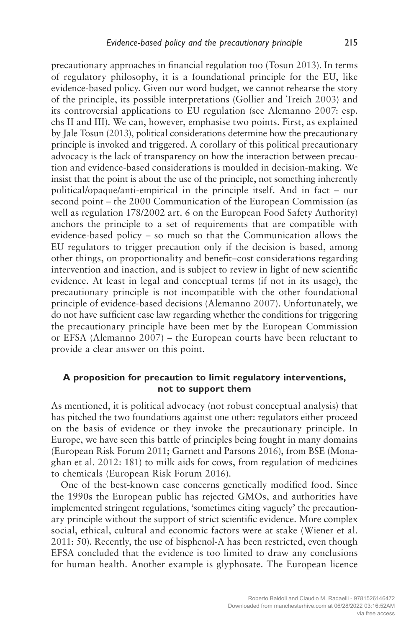precautionary approaches in financial regulation too (Tosun 2013). In terms of regulatory philosophy, it is a foundational principle for the EU, like evidence-based policy. Given our word budget, we cannot rehearse the story of the principle, its possible interpretations (Gollier and Treich 2003) and its controversial applications to EU regulation (see Alemanno 2007: esp. chs II and III). We can, however, emphasise two points. First, as explained by Jale Tosun (2013), political considerations determine how the precautionary principle is invoked and triggered. A corollary of this political precautionary advocacy is the lack of transparency on how the interaction between precaution and evidence-based considerations is moulded in decision-making. We insist that the point is about the use of the principle, not something inherently political/opaque/anti-empirical in the principle itself. And in fact – our second point – the 2000 Communication of the European Commission (as well as regulation 178/2002 art. 6 on the European Food Safety Authority) anchors the principle to a set of requirements that are compatible with evidence-based policy – so much so that the Communication allows the EU regulators to trigger precaution only if the decision is based, among other things, on proportionality and benefit–cost considerations regarding intervention and inaction, and is subject to review in light of new scientific evidence. At least in legal and conceptual terms (if not in its usage), the precautionary principle is not incompatible with the other foundational principle of evidence-based decisions (Alemanno 2007). Unfortunately, we do not have sufficient case law regarding whether the conditions for triggering the precautionary principle have been met by the European Commission or EFSA (Alemanno 2007) – the European courts have been reluctant to provide a clear answer on this point.

## **A proposition for precaution to limit regulatory interventions, not to support them**

As mentioned, it is political advocacy (not robust conceptual analysis) that has pitched the two foundations against one other: regulators either proceed on the basis of evidence or they invoke the precautionary principle. In Europe, we have seen this battle of principles being fought in many domains (European Risk Forum 2011; Garnett and Parsons 2016), from BSE (Monaghan et al. 2012: 181) to milk aids for cows, from regulation of medicines to chemicals (European Risk Forum 2016).

One of the best-known case concerns genetically modified food. Since the 1990s the European public has rejected GMOs, and authorities have implemented stringent regulations, 'sometimes citing vaguely' the precautionary principle without the support of strict scientific evidence. More complex social, ethical, cultural and economic factors were at stake (Wiener et al. 2011: 50). Recently, the use of bisphenol-A has been restricted, even though EFSA concluded that the evidence is too limited to draw any conclusions for human health. Another example is glyphosate. The European licence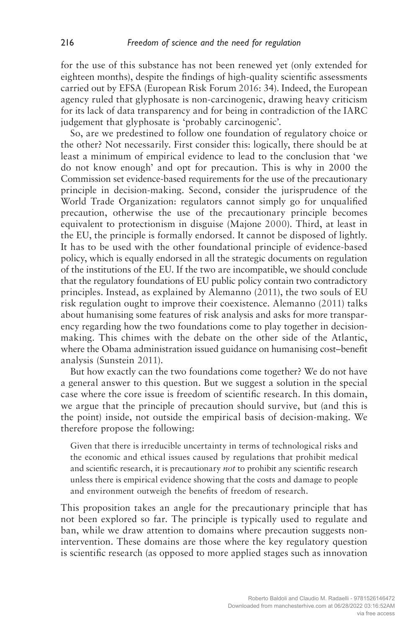for the use of this substance has not been renewed yet (only extended for eighteen months), despite the findings of high-quality scientific assessments carried out by EFSA (European Risk Forum 2016: 34). Indeed, the European agency ruled that glyphosate is non-carcinogenic, drawing heavy criticism for its lack of data transparency and for being in contradiction of the IARC judgement that glyphosate is 'probably carcinogenic'.

So, are we predestined to follow one foundation of regulatory choice or the other? Not necessarily. First consider this: logically, there should be at least a minimum of empirical evidence to lead to the conclusion that 'we do not know enough' and opt for precaution. This is why in 2000 the Commission set evidence-based requirements for the use of the precautionary principle in decision-making. Second, consider the jurisprudence of the World Trade Organization: regulators cannot simply go for unqualified precaution, otherwise the use of the precautionary principle becomes equivalent to protectionism in disguise (Majone 2000). Third, at least in the EU, the principle is formally endorsed. It cannot be disposed of lightly. It has to be used with the other foundational principle of evidence-based policy, which is equally endorsed in all the strategic documents on regulation of the institutions of the EU. If the two are incompatible, we should conclude that the regulatory foundations of EU public policy contain two contradictory principles. Instead, as explained by Alemanno (2011), the two souls of EU risk regulation ought to improve their coexistence. Alemanno (2011) talks about humanising some features of risk analysis and asks for more transparency regarding how the two foundations come to play together in decisionmaking. This chimes with the debate on the other side of the Atlantic, where the Obama administration issued guidance on humanising cost–benefit analysis (Sunstein 2011).

But how exactly can the two foundations come together? We do not have a general answer to this question. But we suggest a solution in the special case where the core issue is freedom of scientific research. In this domain, we argue that the principle of precaution should survive, but (and this is the point) inside, not outside the empirical basis of decision-making. We therefore propose the following:

Given that there is irreducible uncertainty in terms of technological risks and the economic and ethical issues caused by regulations that prohibit medical and scientific research, it is precautionary *not* to prohibit any scientific research unless there is empirical evidence showing that the costs and damage to people and environment outweigh the benefits of freedom of research.

This proposition takes an angle for the precautionary principle that has not been explored so far. The principle is typically used to regulate and ban, while we draw attention to domains where precaution suggests nonintervention. These domains are those where the key regulatory question is scientific research (as opposed to more applied stages such as innovation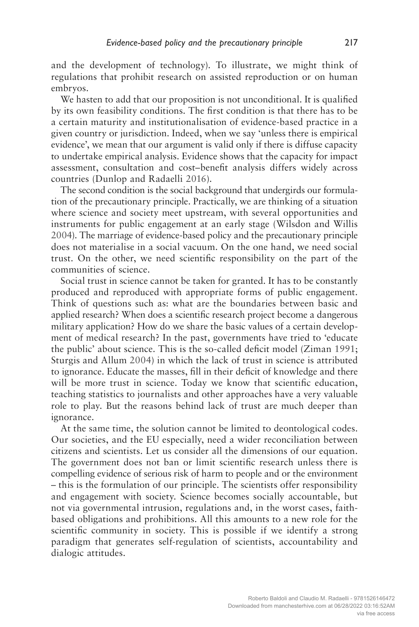and the development of technology). To illustrate, we might think of regulations that prohibit research on assisted reproduction or on human embryos.

We hasten to add that our proposition is not unconditional. It is qualified by its own feasibility conditions. The first condition is that there has to be a certain maturity and institutionalisation of evidence-based practice in a given country or jurisdiction. Indeed, when we say 'unless there is empirical evidence', we mean that our argument is valid only if there is diffuse capacity to undertake empirical analysis. Evidence shows that the capacity for impact assessment, consultation and cost–benefit analysis differs widely across countries (Dunlop and Radaelli 2016).

The second condition is the social background that undergirds our formulation of the precautionary principle. Practically, we are thinking of a situation where science and society meet upstream, with several opportunities and instruments for public engagement at an early stage (Wilsdon and Willis 2004). The marriage of evidence-based policy and the precautionary principle does not materialise in a social vacuum. On the one hand, we need social trust. On the other, we need scientific responsibility on the part of the communities of science.

Social trust in science cannot be taken for granted. It has to be constantly produced and reproduced with appropriate forms of public engagement. Think of questions such as: what are the boundaries between basic and applied research? When does a scientific research project become a dangerous military application? How do we share the basic values of a certain development of medical research? In the past, governments have tried to 'educate the public' about science. This is the so-called deficit model (Ziman 1991; Sturgis and Allum 2004) in which the lack of trust in science is attributed to ignorance. Educate the masses, fill in their deficit of knowledge and there will be more trust in science. Today we know that scientific education, teaching statistics to journalists and other approaches have a very valuable role to play. But the reasons behind lack of trust are much deeper than ignorance.

At the same time, the solution cannot be limited to deontological codes. Our societies, and the EU especially, need a wider reconciliation between citizens and scientists. Let us consider all the dimensions of our equation. The government does not ban or limit scientific research unless there is compelling evidence of serious risk of harm to people and or the environment – this is the formulation of our principle. The scientists offer responsibility and engagement with society. Science becomes socially accountable, but not via governmental intrusion, regulations and, in the worst cases, faithbased obligations and prohibitions. All this amounts to a new role for the scientific community in society. This is possible if we identify a strong paradigm that generates self-regulation of scientists, accountability and dialogic attitudes.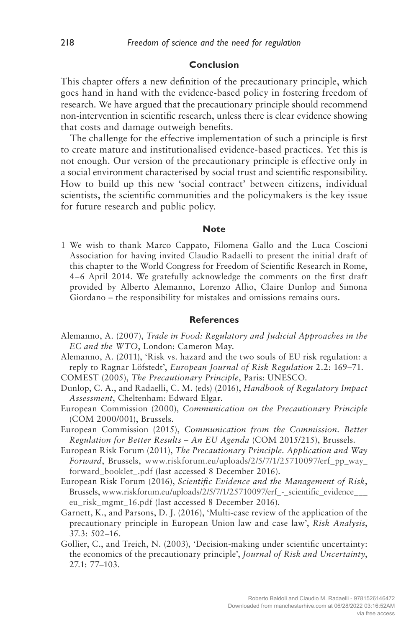#### **Conclusion**

This chapter offers a new definition of the precautionary principle, which goes hand in hand with the evidence-based policy in fostering freedom of research. We have argued that the precautionary principle should recommend non-intervention in scientific research, unless there is clear evidence showing that costs and damage outweigh benefits.

The challenge for the effective implementation of such a principle is first to create mature and institutionalised evidence-based practices. Yet this is not enough. Our version of the precautionary principle is effective only in a social environment characterised by social trust and scientific responsibility. How to build up this new 'social contract' between citizens, individual scientists, the scientific communities and the policymakers is the key issue for future research and public policy.

#### **Note**

1 We wish to thank Marco Cappato, Filomena Gallo and the Luca Coscioni Association for having invited Claudio Radaelli to present the initial draft of this chapter to the World Congress for Freedom of Scientific Research in Rome, 4–6 April 2014. We gratefully acknowledge the comments on the first draft provided by Alberto Alemanno, Lorenzo Allio, Claire Dunlop and Simona Giordano – the responsibility for mistakes and omissions remains ours.

#### **References**

- Alemanno, A. (2007), *Trade in Food: Regulatory and Judicial Approaches in the EC and the WTO*, London: Cameron May.
- Alemanno, A. (2011), 'Risk vs. hazard and the two souls of EU risk regulation: a reply to Ragnar Löfstedt', *European Journal of Risk Regulation* 2.2: 169–71.
- COMEST (2005), *The Precautionary Principle*, Paris: UNESCO.
- Dunlop, C. A., and Radaelli, C. M. (eds) (2016), *Handbook of Regulatory Impact Assessment*, Cheltenham: Edward Elgar.
- European Commission (2000), *Communication on the Precautionary Principle* (COM 2000/001), Brussels.
- European Commission (2015), *Communication from the Commission. Better Regulation for Better Results – An EU Agenda* (COM 2015/215), Brussels.
- European Risk Forum (2011), *The Precautionary Principle. Application and Way Forward*, Brussels, www.riskforum.eu/uploads/2/5/7/1/25710097/erf\_pp\_way\_ forward\_booklet\_.pdf (last accessed 8 December 2016).
- European Risk Forum (2016), *Scientific Evidence and the Management of Risk*, Brussels, www.riskforum.eu/uploads/2/5/7/1/25710097/erf\_-\_scientific\_evidence\_\_\_ eu\_risk\_mgmt\_16.pdf (last accessed 8 December 2016).
- Garnett, K., and Parsons, D. J. (2016), 'Multi-case review of the application of the precautionary principle in European Union law and case law', *Risk Analysis*, 37.3: 502–16.
- Gollier, C., and Treich, N. (2003), 'Decision-making under scientific uncertainty: the economics of the precautionary principle', *Journal of Risk and Uncertainty*, 27.1: 77–103.